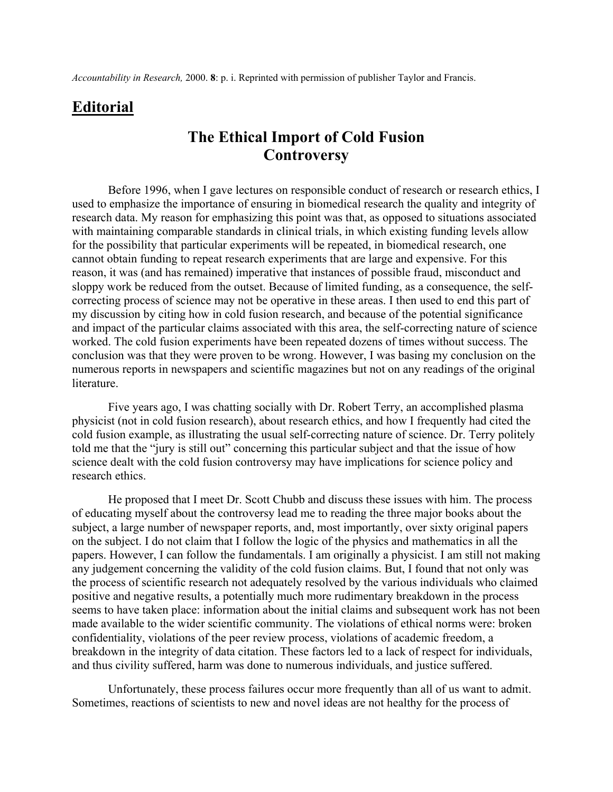## **Editorial**

## **The Ethical Import of Cold Fusion Controversy**

Before 1996, when I gave lectures on responsible conduct of research or research ethics, I used to emphasize the importance of ensuring in biomedical research the quality and integrity of research data. My reason for emphasizing this point was that, as opposed to situations associated with maintaining comparable standards in clinical trials, in which existing funding levels allow for the possibility that particular experiments will be repeated, in biomedical research, one cannot obtain funding to repeat research experiments that are large and expensive. For this reason, it was (and has remained) imperative that instances of possible fraud, misconduct and sloppy work be reduced from the outset. Because of limited funding, as a consequence, the selfcorrecting process of science may not be operative in these areas. I then used to end this part of my discussion by citing how in cold fusion research, and because of the potential significance and impact of the particular claims associated with this area, the self-correcting nature of science worked. The cold fusion experiments have been repeated dozens of times without success. The conclusion was that they were proven to be wrong. However, I was basing my conclusion on the numerous reports in newspapers and scientific magazines but not on any readings of the original **literature** 

Five years ago, I was chatting socially with Dr. Robert Terry, an accomplished plasma physicist (not in cold fusion research), about research ethics, and how I frequently had cited the cold fusion example, as illustrating the usual self-correcting nature of science. Dr. Terry politely told me that the "jury is still out" concerning this particular subject and that the issue of how science dealt with the cold fusion controversy may have implications for science policy and research ethics.

He proposed that I meet Dr. Scott Chubb and discuss these issues with him. The process of educating myself about the controversy lead me to reading the three major books about the subject, a large number of newspaper reports, and, most importantly, over sixty original papers on the subject. I do not claim that I follow the logic of the physics and mathematics in all the papers. However, I can follow the fundamentals. I am originally a physicist. I am still not making any judgement concerning the validity of the cold fusion claims. But, I found that not only was the process of scientific research not adequately resolved by the various individuals who claimed positive and negative results, a potentially much more rudimentary breakdown in the process seems to have taken place: information about the initial claims and subsequent work has not been made available to the wider scientific community. The violations of ethical norms were: broken confidentiality, violations of the peer review process, violations of academic freedom, a breakdown in the integrity of data citation. These factors led to a lack of respect for individuals, and thus civility suffered, harm was done to numerous individuals, and justice suffered.

Unfortunately, these process failures occur more frequently than all of us want to admit. Sometimes, reactions of scientists to new and novel ideas are not healthy for the process of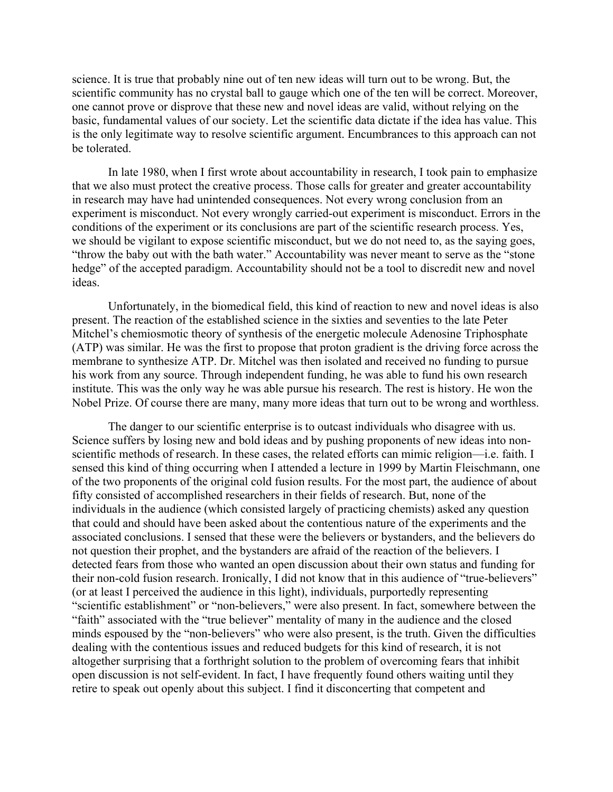science. It is true that probably nine out of ten new ideas will turn out to be wrong. But, the scientific community has no crystal ball to gauge which one of the ten will be correct. Moreover, one cannot prove or disprove that these new and novel ideas are valid, without relying on the basic, fundamental values of our society. Let the scientific data dictate if the idea has value. This is the only legitimate way to resolve scientific argument. Encumbrances to this approach can not be tolerated.

In late 1980, when I first wrote about accountability in research, I took pain to emphasize that we also must protect the creative process. Those calls for greater and greater accountability in research may have had unintended consequences. Not every wrong conclusion from an experiment is misconduct. Not every wrongly carried-out experiment is misconduct. Errors in the conditions of the experiment or its conclusions are part of the scientific research process. Yes, we should be vigilant to expose scientific misconduct, but we do not need to, as the saying goes, "throw the baby out with the bath water." Accountability was never meant to serve as the "stone" hedge" of the accepted paradigm. Accountability should not be a tool to discredit new and novel ideas.

Unfortunately, in the biomedical field, this kind of reaction to new and novel ideas is also present. The reaction of the established science in the sixties and seventies to the late Peter Mitchel's chemiosmotic theory of synthesis of the energetic molecule Adenosine Triphosphate (ATP) was similar. He was the first to propose that proton gradient is the driving force across the membrane to synthesize ATP. Dr. Mitchel was then isolated and received no funding to pursue his work from any source. Through independent funding, he was able to fund his own research institute. This was the only way he was able pursue his research. The rest is history. He won the Nobel Prize. Of course there are many, many more ideas that turn out to be wrong and worthless.

The danger to our scientific enterprise is to outcast individuals who disagree with us. Science suffers by losing new and bold ideas and by pushing proponents of new ideas into nonscientific methods of research. In these cases, the related efforts can mimic religion—i.e. faith. I sensed this kind of thing occurring when I attended a lecture in 1999 by Martin Fleischmann, one of the two proponents of the original cold fusion results. For the most part, the audience of about fifty consisted of accomplished researchers in their fields of research. But, none of the individuals in the audience (which consisted largely of practicing chemists) asked any question that could and should have been asked about the contentious nature of the experiments and the associated conclusions. I sensed that these were the believers or bystanders, and the believers do not question their prophet, and the bystanders are afraid of the reaction of the believers. I detected fears from those who wanted an open discussion about their own status and funding for their non-cold fusion research. Ironically,  $\overline{I}$  did not know that in this audience of "true-believers" (or at least I perceived the audience in this light), individuals, purportedly representing "scientific establishment" or "non-believers," were also present. In fact, somewhere between the "faith" associated with the "true believer" mentality of many in the audience and the closed minds espoused by the "non-believers" who were also present, is the truth. Given the difficulties dealing with the contentious issues and reduced budgets for this kind of research, it is not altogether surprising that a forthright solution to the problem of overcoming fears that inhibit open discussion is not self-evident. In fact, I have frequently found others waiting until they retire to speak out openly about this subject. I find it disconcerting that competent and